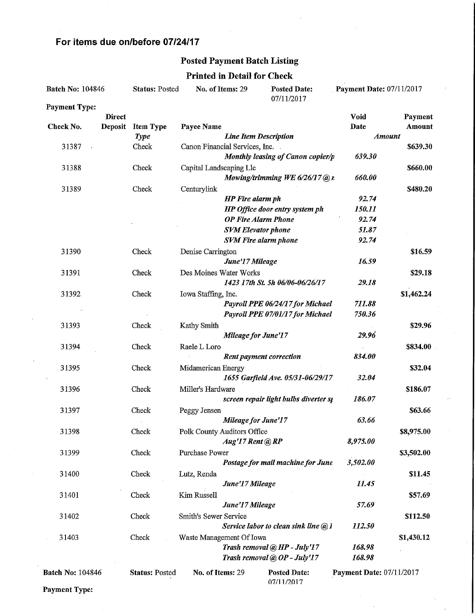## For items due on/before 07/24/17

### Posted Payment Batch Listing

### Printed in Detail for Check

| <b>Batch No: 104846</b> |                | <b>Status: Posted</b> | No. of Items: 29               |                              | <b>Posted Date:</b><br>07/11/2017        | Payment Date: 07/11/2017        |               |
|-------------------------|----------------|-----------------------|--------------------------------|------------------------------|------------------------------------------|---------------------------------|---------------|
| <b>Payment Type:</b>    |                |                       |                                |                              |                                          |                                 |               |
|                         | <b>Direct</b>  |                       |                                |                              |                                          | Void                            | Payment       |
| Check No.               | <b>Deposit</b> | <b>Item Type</b>      | Payee Name                     |                              |                                          | Date                            | Amount        |
|                         |                | <b>Type</b>           |                                | <b>Line Item Description</b> |                                          |                                 | <b>Amount</b> |
| 31387                   |                | Check                 | Canon Financial Services, Inc. |                              |                                          |                                 | \$639.30      |
|                         |                |                       |                                |                              | Monthly leasing of Canon copier/p        | 639.30                          |               |
| 31388                   |                | Check                 | Capital Landscaping Llc        |                              |                                          |                                 | \$660.00      |
|                         |                |                       |                                |                              | Mowing/trimming WE $6/26/17$ @ r.        | 660.00                          |               |
| 31389                   |                | Check                 | Centurylink                    |                              |                                          |                                 | \$480.20      |
|                         |                |                       |                                | <b>HP</b> Fire alarm ph      |                                          | 92.74                           |               |
|                         |                |                       |                                |                              | HP Office door entry system ph           | 150.11                          |               |
|                         |                |                       |                                | <b>OP Fire Alarm Phone</b>   |                                          | 92.74                           |               |
|                         |                |                       |                                | <b>SVM Elevator phone</b>    |                                          | 51.87                           |               |
|                         |                |                       |                                |                              | <b>SVM Fire alarm phone</b>              | 92.74                           |               |
| 31390                   |                | Check                 | Denise Carrington              |                              |                                          |                                 | \$16.59       |
|                         |                |                       |                                | June'17 Mileage              |                                          | 16.59                           |               |
| 31391                   |                | Check                 | Des Moines Water Works         |                              |                                          |                                 | \$29.18       |
|                         |                |                       |                                |                              | 1423 17th St. 5h 06/06-06/26/17          | 29.18                           |               |
| 31392                   |                | Check                 | Iowa Staffing, Inc.            |                              |                                          |                                 | \$1,462.24    |
|                         |                |                       |                                |                              | Payroll PPE 06/24/17 for Michael         | 711.88                          |               |
|                         |                |                       |                                |                              | Payroll PPE 07/01/17 for Michael         | 750.36                          |               |
| 31393                   |                | Check                 | Kathy Smith                    |                              |                                          |                                 | \$29.96       |
|                         |                |                       |                                | <b>Mileage for June'17</b>   |                                          | 29.96                           |               |
| 31394                   |                | Check                 | Raele L Loro                   |                              |                                          |                                 | \$834.00      |
|                         |                |                       |                                |                              | <b>Rent payment correction</b>           | 834.00                          |               |
| 31395                   |                | <b>Check</b>          | Midamerican Energy             |                              |                                          |                                 | \$32.04       |
|                         |                |                       |                                |                              | 1655 Garfield Ave. 05/31-06/29/17        | 32.04                           |               |
| 31396                   |                | Check                 | Miller's Hardware              |                              |                                          |                                 | \$186.07      |
|                         |                |                       |                                |                              | screen repair light bulbs diverter st    | 186.07                          |               |
| 31397                   |                | Check                 | Peggy Jensen                   |                              |                                          | 63.66                           | \$63.66       |
|                         |                |                       |                                | <b>Mileage for June'17</b>   |                                          |                                 |               |
| 31398                   |                | Check                 | Polk County Auditors Office    | Aug'17 Rent @ RP             |                                          | 8,975.00                        | \$8,975.00    |
| 31399                   |                |                       |                                |                              |                                          |                                 |               |
|                         |                | Check                 | Purchase Power                 |                              | Postage for mail machine for June        | 3,502.00                        | \$3,502.00    |
| 31400                   |                |                       |                                |                              |                                          |                                 | \$11.45       |
|                         |                | Check                 | Lutz, Renda                    | June'17 Mileage              |                                          | 11.45                           |               |
| 31401                   |                | Check                 | Kim Russell                    |                              |                                          |                                 | \$57.69       |
|                         |                |                       |                                | June'17 Mileage              |                                          | 57.69                           |               |
| 31402                   |                | Check                 | Smith's Sewer Service          |                              |                                          |                                 | \$112.50      |
|                         |                |                       |                                |                              | Service labor to clean sink line $(a)$ l | 112.50                          |               |
| 31403                   |                | Check                 | Waste Management Of Iowa       |                              |                                          |                                 | \$1,430.12    |
|                         |                |                       |                                |                              | Trash removal @ HP - July'17             | 168.98                          |               |
|                         |                |                       |                                |                              | Trash removal @ OP - July'17             | 168.98                          |               |
|                         |                |                       |                                |                              |                                          |                                 |               |
| <b>Batch No: 104846</b> |                | <b>Status: Posted</b> | No. of Items: 29               |                              | <b>Posted Date:</b><br>07/11/2017        | <b>Payment Date: 07/11/2017</b> |               |

Payment Type: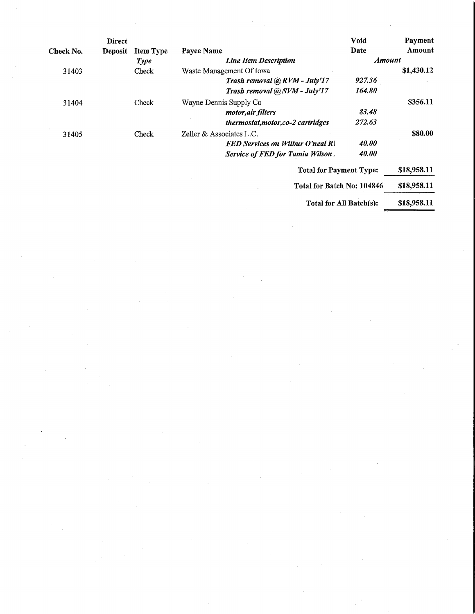|           | <b>Direct</b>  |                  |                                         | <b>Void</b>   | Payment     |
|-----------|----------------|------------------|-----------------------------------------|---------------|-------------|
| Check No. | <b>Deposit</b> | <b>Item Type</b> | Payee Name                              | Date          | Amount      |
|           |                | <b>Type</b>      | <b>Line Item Description</b>            | <b>Amount</b> |             |
| 31403     |                | Check            | Waste Management Of Iowa                |               | \$1,430.12  |
|           |                |                  | Trash removal @ RVM - July'17           | 927.36        |             |
|           |                |                  | Trash removal @ SVM - July'17           | 164.80        |             |
| 31404     |                | Check            | Wayne Dennis Supply Co                  |               | \$356.11    |
|           |                |                  | <i>motor, air filters</i>               | 83.48         |             |
|           |                |                  | thermostat, motor, co-2 cartridges      | 272.63        |             |
| 31405     |                | Check            | Zeller & Associates L.C.                |               | \$80.00     |
|           |                |                  | <b>FED Services on Wilbur O'neal R\</b> | 40.00         |             |
|           |                |                  | Service of FED for Tamia Wilson.        | 40.00         |             |
|           |                |                  | <b>Total for Payment Type:</b>          |               | \$18,958.11 |
|           |                |                  | Total for Batch No: 104846              |               | \$18,958.11 |

Total for All Batch(s): \$18,958.11